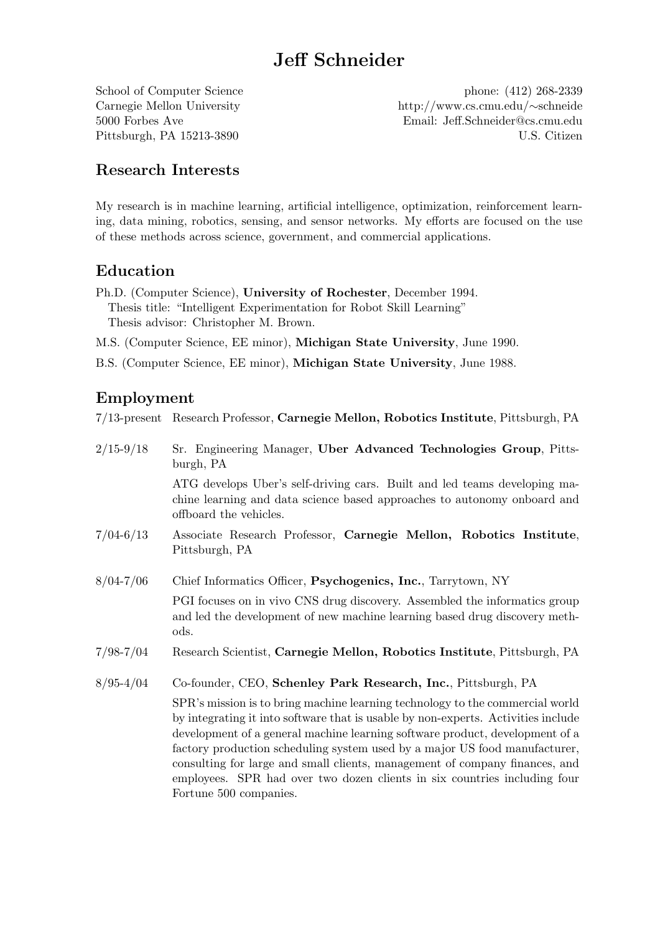# Jeff Schneider

School of Computer Science phone: (412) 268-2339 Carnegie Mellon University http://www.cs.cmu.edu/∼schneide 5000 Forbes Ave Email: Jeff.Schneider@cs.cmu.edu Pittsburgh, PA 15213-3890 U.S. Citizen

# Research Interests

My research is in machine learning, artificial intelligence, optimization, reinforcement learning, data mining, robotics, sensing, and sensor networks. My efforts are focused on the use of these methods across science, government, and commercial applications.

# Education

Ph.D. (Computer Science), University of Rochester, December 1994. Thesis title: "Intelligent Experimentation for Robot Skill Learning" Thesis advisor: Christopher M. Brown.

M.S. (Computer Science, EE minor), Michigan State University, June 1990.

B.S. (Computer Science, EE minor), Michigan State University, June 1988.

# Employment

7/13-present Research Professor, Carnegie Mellon, Robotics Institute, Pittsburgh, PA

| $2/15 - 9/18$ | Sr. Engineering Manager, Uber Advanced Technologies Group, Pitts-<br>burgh, PA                                                                                                                                                                                                                                                                                                                                                                                                                                         |
|---------------|------------------------------------------------------------------------------------------------------------------------------------------------------------------------------------------------------------------------------------------------------------------------------------------------------------------------------------------------------------------------------------------------------------------------------------------------------------------------------------------------------------------------|
|               | ATG develops Uber's self-driving cars. Built and led teams developing ma-<br>chine learning and data science based approaches to autonomy onboard and<br>offboard the vehicles.                                                                                                                                                                                                                                                                                                                                        |
| $7/04 - 6/13$ | Associate Research Professor, Carnegie Mellon, Robotics Institute,<br>Pittsburgh, PA                                                                                                                                                                                                                                                                                                                                                                                                                                   |
| $8/04 - 7/06$ | Chief Informatics Officer, Psychogenics, Inc., Tarrytown, NY                                                                                                                                                                                                                                                                                                                                                                                                                                                           |
|               | PGI focuses on in vivo CNS drug discovery. Assembled the informatics group<br>and led the development of new machine learning based drug discovery meth-<br>ods.                                                                                                                                                                                                                                                                                                                                                       |
| $7/98 - 7/04$ | Research Scientist, Carnegie Mellon, Robotics Institute, Pittsburgh, PA                                                                                                                                                                                                                                                                                                                                                                                                                                                |
| $8/95 - 4/04$ | Co-founder, CEO, Schenley Park Research, Inc., Pittsburgh, PA                                                                                                                                                                                                                                                                                                                                                                                                                                                          |
|               | SPR's mission is to bring machine learning technology to the commercial world<br>by integrating it into software that is usable by non-experts. Activities include<br>development of a general machine learning software product, development of a<br>factory production scheduling system used by a major US food manufacturer,<br>consulting for large and small clients, management of company finances, and<br>employees. SPR had over two dozen clients in six countries including four<br>Fortune 500 companies. |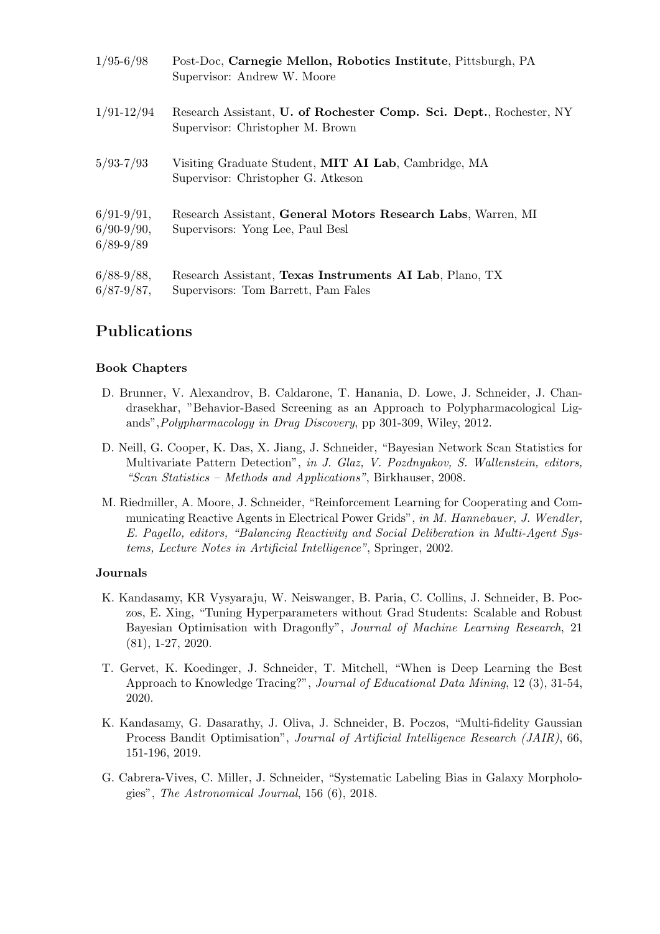| $1/95 - 6/98$                                    | Post-Doc, Carnegie Mellon, Robotics Institute, Pittsburgh, PA<br>Supervisor: Andrew W. Moore            |
|--------------------------------------------------|---------------------------------------------------------------------------------------------------------|
| $1/91 - 12/94$                                   | Research Assistant, U. of Rochester Comp. Sci. Dept., Rochester, NY<br>Supervisor: Christopher M. Brown |
| $5/93 - 7/93$                                    | Visiting Graduate Student, MIT AI Lab, Cambridge, MA<br>Supervisor: Christopher G. Atkeson              |
| $6/91 - 9/91$ ,<br>$6/90-9/90,$<br>$6/89 - 9/89$ | Research Assistant, General Motors Research Labs, Warren, MI<br>Supervisors: Yong Lee, Paul Besl        |
| $6/88-9/88,$<br>$6/87 - 9/87$ ,                  | Research Assistant, Texas Instruments AI Lab, Plano, TX<br>Supervisors: Tom Barrett, Pam Fales          |

# Publications

### Book Chapters

- D. Brunner, V. Alexandrov, B. Caldarone, T. Hanania, D. Lowe, J. Schneider, J. Chandrasekhar, "Behavior-Based Screening as an Approach to Polypharmacological Ligands",Polypharmacology in Drug Discovery, pp 301-309, Wiley, 2012.
- D. Neill, G. Cooper, K. Das, X. Jiang, J. Schneider, "Bayesian Network Scan Statistics for Multivariate Pattern Detection", in J. Glaz, V. Pozdnyakov, S. Wallenstein, editors, "Scan Statistics – Methods and Applications", Birkhauser, 2008.
- M. Riedmiller, A. Moore, J. Schneider, "Reinforcement Learning for Cooperating and Communicating Reactive Agents in Electrical Power Grids", in M. Hannebauer, J. Wendler, E. Pagello, editors, "Balancing Reactivity and Social Deliberation in Multi-Agent Systems, Lecture Notes in Artificial Intelligence", Springer, 2002.

#### Journals

- K. Kandasamy, KR Vysyaraju, W. Neiswanger, B. Paria, C. Collins, J. Schneider, B. Poczos, E. Xing, "Tuning Hyperparameters without Grad Students: Scalable and Robust Bayesian Optimisation with Dragonfly", Journal of Machine Learning Research, 21 (81), 1-27, 2020.
- T. Gervet, K. Koedinger, J. Schneider, T. Mitchell, "When is Deep Learning the Best Approach to Knowledge Tracing?", Journal of Educational Data Mining, 12 (3), 31-54, 2020.
- K. Kandasamy, G. Dasarathy, J. Oliva, J. Schneider, B. Poczos, "Multi-fidelity Gaussian Process Bandit Optimisation", Journal of Artificial Intelligence Research (JAIR), 66, 151-196, 2019.
- G. Cabrera-Vives, C. Miller, J. Schneider, "Systematic Labeling Bias in Galaxy Morphologies", The Astronomical Journal, 156 (6), 2018.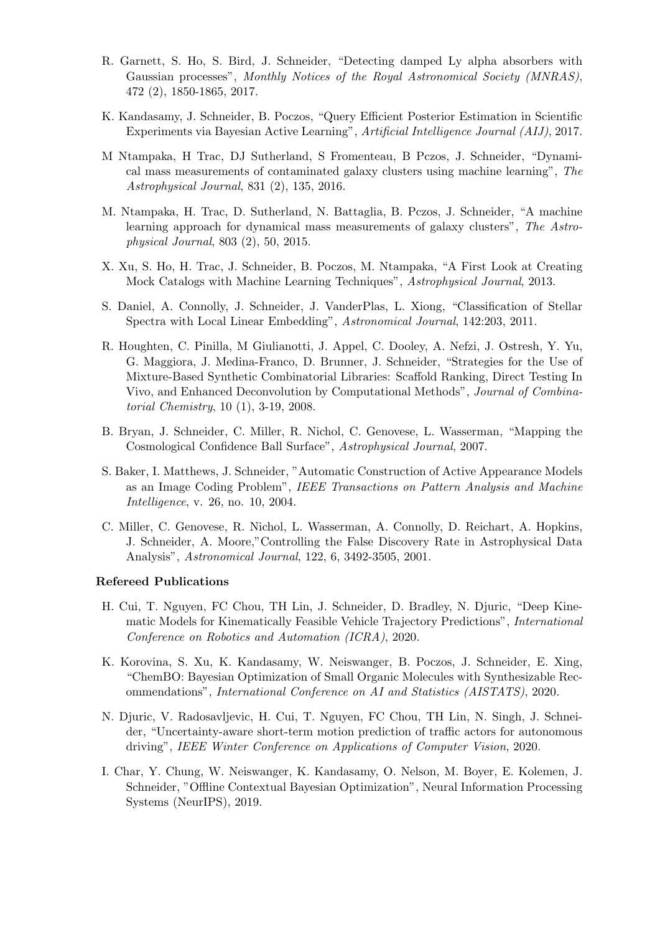- R. Garnett, S. Ho, S. Bird, J. Schneider, "Detecting damped Ly alpha absorbers with Gaussian processes", Monthly Notices of the Royal Astronomical Society (MNRAS), 472 (2), 1850-1865, 2017.
- K. Kandasamy, J. Schneider, B. Poczos, "Query Efficient Posterior Estimation in Scientific Experiments via Bayesian Active Learning", Artificial Intelligence Journal (AIJ), 2017.
- M Ntampaka, H Trac, DJ Sutherland, S Fromenteau, B Pczos, J. Schneider, "Dynamical mass measurements of contaminated galaxy clusters using machine learning", The Astrophysical Journal, 831 (2), 135, 2016.
- M. Ntampaka, H. Trac, D. Sutherland, N. Battaglia, B. Pczos, J. Schneider, "A machine learning approach for dynamical mass measurements of galaxy clusters", The Astrophysical Journal, 803 (2), 50, 2015.
- X. Xu, S. Ho, H. Trac, J. Schneider, B. Poczos, M. Ntampaka, "A First Look at Creating Mock Catalogs with Machine Learning Techniques", Astrophysical Journal, 2013.
- S. Daniel, A. Connolly, J. Schneider, J. VanderPlas, L. Xiong, "Classification of Stellar Spectra with Local Linear Embedding", Astronomical Journal, 142:203, 2011.
- R. Houghten, C. Pinilla, M Giulianotti, J. Appel, C. Dooley, A. Nefzi, J. Ostresh, Y. Yu, G. Maggiora, J. Medina-Franco, D. Brunner, J. Schneider, "Strategies for the Use of Mixture-Based Synthetic Combinatorial Libraries: Scaffold Ranking, Direct Testing In Vivo, and Enhanced Deconvolution by Computational Methods", Journal of Combinatorial Chemistry, 10 (1), 3-19, 2008.
- B. Bryan, J. Schneider, C. Miller, R. Nichol, C. Genovese, L. Wasserman, "Mapping the Cosmological Confidence Ball Surface", Astrophysical Journal, 2007.
- S. Baker, I. Matthews, J. Schneider, "Automatic Construction of Active Appearance Models as an Image Coding Problem", IEEE Transactions on Pattern Analysis and Machine Intelligence, v. 26, no. 10, 2004.
- C. Miller, C. Genovese, R. Nichol, L. Wasserman, A. Connolly, D. Reichart, A. Hopkins, J. Schneider, A. Moore,"Controlling the False Discovery Rate in Astrophysical Data Analysis", Astronomical Journal, 122, 6, 3492-3505, 2001.

#### Refereed Publications

- H. Cui, T. Nguyen, FC Chou, TH Lin, J. Schneider, D. Bradley, N. Djuric, "Deep Kinematic Models for Kinematically Feasible Vehicle Trajectory Predictions", International Conference on Robotics and Automation (ICRA), 2020.
- K. Korovina, S. Xu, K. Kandasamy, W. Neiswanger, B. Poczos, J. Schneider, E. Xing, "ChemBO: Bayesian Optimization of Small Organic Molecules with Synthesizable Recommendations", International Conference on AI and Statistics (AISTATS), 2020.
- N. Djuric, V. Radosavljevic, H. Cui, T. Nguyen, FC Chou, TH Lin, N. Singh, J. Schneider, "Uncertainty-aware short-term motion prediction of traffic actors for autonomous driving", IEEE Winter Conference on Applications of Computer Vision, 2020.
- I. Char, Y. Chung, W. Neiswanger, K. Kandasamy, O. Nelson, M. Boyer, E. Kolemen, J. Schneider, "Offline Contextual Bayesian Optimization", Neural Information Processing Systems (NeurIPS), 2019.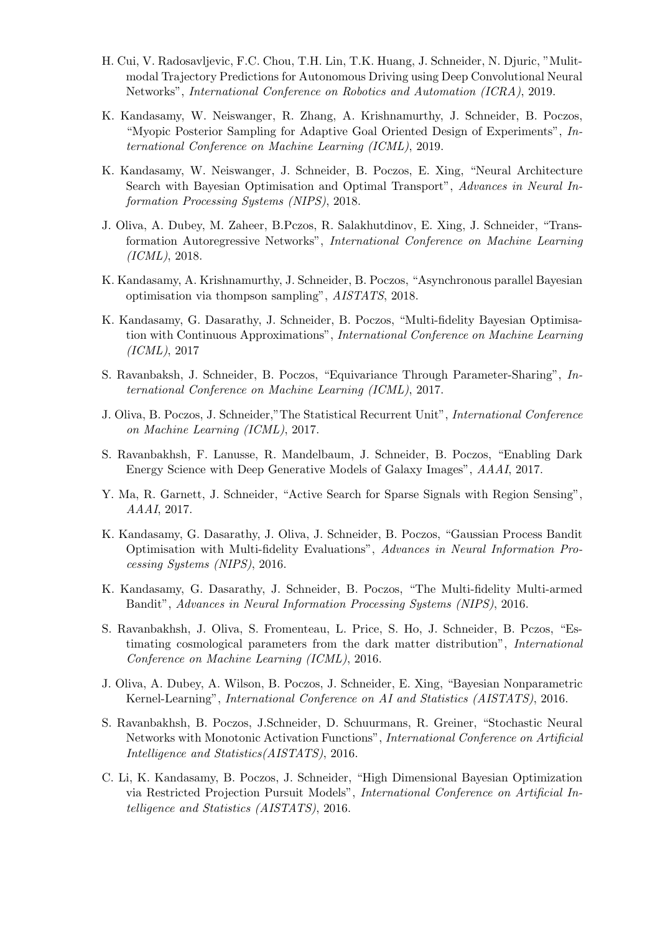- H. Cui, V. Radosavljevic, F.C. Chou, T.H. Lin, T.K. Huang, J. Schneider, N. Djuric, "Mulitmodal Trajectory Predictions for Autonomous Driving using Deep Convolutional Neural Networks", International Conference on Robotics and Automation (ICRA), 2019.
- K. Kandasamy, W. Neiswanger, R. Zhang, A. Krishnamurthy, J. Schneider, B. Poczos, "Myopic Posterior Sampling for Adaptive Goal Oriented Design of Experiments", International Conference on Machine Learning (ICML), 2019.
- K. Kandasamy, W. Neiswanger, J. Schneider, B. Poczos, E. Xing, "Neural Architecture Search with Bayesian Optimisation and Optimal Transport", Advances in Neural Information Processing Systems (NIPS), 2018.
- J. Oliva, A. Dubey, M. Zaheer, B.Pczos, R. Salakhutdinov, E. Xing, J. Schneider, "Transformation Autoregressive Networks", International Conference on Machine Learning (ICML), 2018.
- K. Kandasamy, A. Krishnamurthy, J. Schneider, B. Poczos, "Asynchronous parallel Bayesian optimisation via thompson sampling", AISTATS, 2018.
- K. Kandasamy, G. Dasarathy, J. Schneider, B. Poczos, "Multi-fidelity Bayesian Optimisation with Continuous Approximations", International Conference on Machine Learning (ICML), 2017
- S. Ravanbaksh, J. Schneider, B. Poczos, "Equivariance Through Parameter-Sharing", International Conference on Machine Learning (ICML), 2017.
- J. Oliva, B. Poczos, J. Schneider,"The Statistical Recurrent Unit", International Conference on Machine Learning (ICML), 2017.
- S. Ravanbakhsh, F. Lanusse, R. Mandelbaum, J. Schneider, B. Poczos, "Enabling Dark Energy Science with Deep Generative Models of Galaxy Images", AAAI, 2017.
- Y. Ma, R. Garnett, J. Schneider, "Active Search for Sparse Signals with Region Sensing", AAAI, 2017.
- K. Kandasamy, G. Dasarathy, J. Oliva, J. Schneider, B. Poczos, "Gaussian Process Bandit Optimisation with Multi-fidelity Evaluations", Advances in Neural Information Processing Systems (NIPS), 2016.
- K. Kandasamy, G. Dasarathy, J. Schneider, B. Poczos, "The Multi-fidelity Multi-armed Bandit", Advances in Neural Information Processing Systems (NIPS), 2016.
- S. Ravanbakhsh, J. Oliva, S. Fromenteau, L. Price, S. Ho, J. Schneider, B. Pczos, "Estimating cosmological parameters from the dark matter distribution", International Conference on Machine Learning (ICML), 2016.
- J. Oliva, A. Dubey, A. Wilson, B. Poczos, J. Schneider, E. Xing, "Bayesian Nonparametric Kernel-Learning", International Conference on AI and Statistics (AISTATS), 2016.
- S. Ravanbakhsh, B. Poczos, J.Schneider, D. Schuurmans, R. Greiner, "Stochastic Neural Networks with Monotonic Activation Functions", International Conference on Artificial Intelligence and Statistics(AISTATS), 2016.
- C. Li, K. Kandasamy, B. Poczos, J. Schneider, "High Dimensional Bayesian Optimization via Restricted Projection Pursuit Models", International Conference on Artificial Intelligence and Statistics (AISTATS), 2016.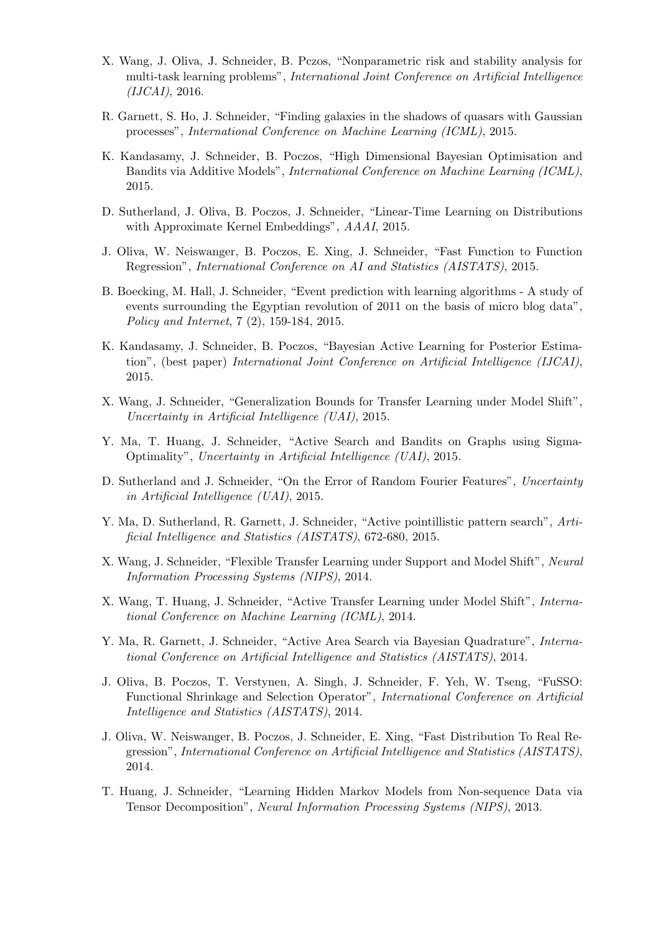- X. Wang, J. Oliva, J. Schneider, B. Pczos, "Nonparametric risk and stability analysis for multi-task learning problems", International Joint Conference on Artificial Intelligence  $(IJCAI), 2016.$
- R. Garnett, S. Ho, J. Schneider, "Finding galaxies in the shadows of quasars with Gaussian processes", International Conference on Machine Learning (ICML), 2015.
- K. Kandasamy, J. Schneider, B. Poczos, "High Dimensional Bayesian Optimisation and Bandits via Additive Models", International Conference on Machine Learning (ICML), 2015.
- D. Sutherland, J. Oliva, B. Poczos, J. Schneider, "Linear-Time Learning on Distributions with Approximate Kernel Embeddings", AAAI, 2015.
- J. Oliva, W. Neiswanger, B. Poczos, E. Xing, J. Schneider, "Fast Function to Function Regression", International Conference on AI and Statistics (AISTATS), 2015.
- B. Boecking, M. Hall, J. Schneider, "Event prediction with learning algorithms A study of events surrounding the Egyptian revolution of 2011 on the basis of micro blog data", Policy and Internet, 7 (2), 159-184, 2015.
- K. Kandasamy, J. Schneider, B. Poczos, "Bayesian Active Learning for Posterior Estimation", (best paper) International Joint Conference on Artificial Intelligence (IJCAI), 2015.
- X. Wang, J. Schneider, "Generalization Bounds for Transfer Learning under Model Shift", Uncertainty in Artificial Intelligence (UAI), 2015.
- Y. Ma, T. Huang, J. Schneider, "Active Search and Bandits on Graphs using Sigma-Optimality", Uncertainty in Artificial Intelligence (UAI), 2015.
- D. Sutherland and J. Schneider, "On the Error of Random Fourier Features", Uncertainty in Artificial Intelligence (UAI), 2015.
- Y. Ma, D. Sutherland, R. Garnett, J. Schneider, "Active pointillistic pattern search", Artificial Intelligence and Statistics (AISTATS), 672-680, 2015.
- X. Wang, J. Schneider, "Flexible Transfer Learning under Support and Model Shift", Neural Information Processing Systems (NIPS), 2014.
- X. Wang, T. Huang, J. Schneider, "Active Transfer Learning under Model Shift", International Conference on Machine Learning (ICML), 2014.
- Y. Ma, R. Garnett, J. Schneider, "Active Area Search via Bayesian Quadrature", International Conference on Artificial Intelligence and Statistics (AISTATS), 2014.
- J. Oliva, B. Poczos, T. Verstynen, A. Singh, J. Schneider, F. Yeh, W. Tseng, "FuSSO: Functional Shrinkage and Selection Operator", International Conference on Artificial Intelligence and Statistics (AISTATS), 2014.
- J. Oliva, W. Neiswanger, B. Poczos, J. Schneider, E. Xing, "Fast Distribution To Real Regression", International Conference on Artificial Intelligence and Statistics (AISTATS), 2014.
- T. Huang, J. Schneider, "Learning Hidden Markov Models from Non-sequence Data via Tensor Decomposition", Neural Information Processing Systems (NIPS), 2013.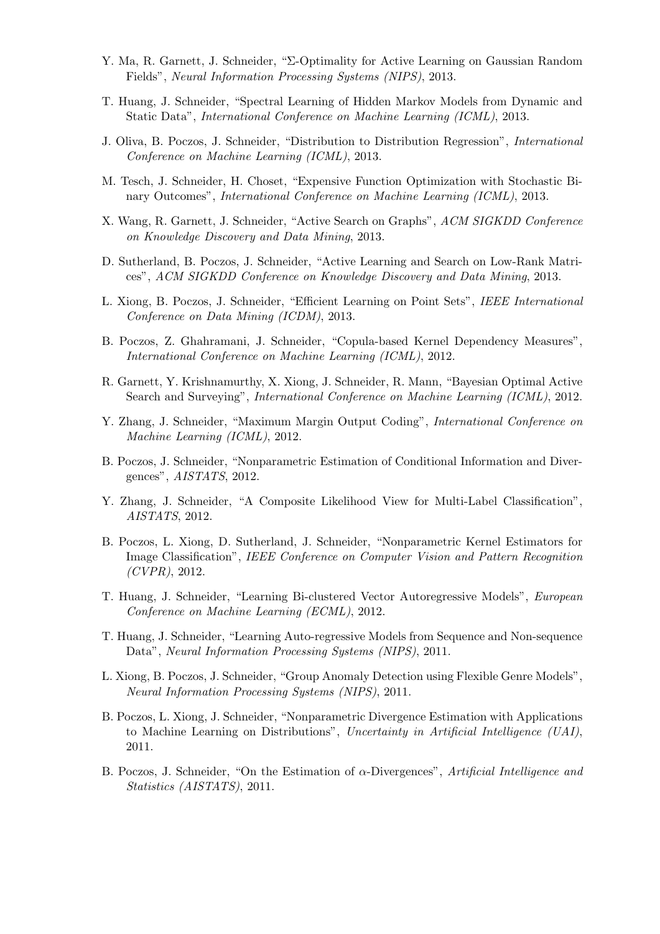- Y. Ma, R. Garnett, J. Schneider, "Σ-Optimality for Active Learning on Gaussian Random Fields", Neural Information Processing Systems (NIPS), 2013.
- T. Huang, J. Schneider, "Spectral Learning of Hidden Markov Models from Dynamic and Static Data", International Conference on Machine Learning (ICML), 2013.
- J. Oliva, B. Poczos, J. Schneider, "Distribution to Distribution Regression", International Conference on Machine Learning (ICML), 2013.
- M. Tesch, J. Schneider, H. Choset, "Expensive Function Optimization with Stochastic Binary Outcomes", International Conference on Machine Learning (ICML), 2013.
- X. Wang, R. Garnett, J. Schneider, "Active Search on Graphs", ACM SIGKDD Conference on Knowledge Discovery and Data Mining, 2013.
- D. Sutherland, B. Poczos, J. Schneider, "Active Learning and Search on Low-Rank Matrices", ACM SIGKDD Conference on Knowledge Discovery and Data Mining, 2013.
- L. Xiong, B. Poczos, J. Schneider, "Efficient Learning on Point Sets", IEEE International Conference on Data Mining (ICDM), 2013.
- B. Poczos, Z. Ghahramani, J. Schneider, "Copula-based Kernel Dependency Measures", International Conference on Machine Learning (ICML), 2012.
- R. Garnett, Y. Krishnamurthy, X. Xiong, J. Schneider, R. Mann, "Bayesian Optimal Active Search and Surveying", International Conference on Machine Learning (ICML), 2012.
- Y. Zhang, J. Schneider, "Maximum Margin Output Coding", International Conference on Machine Learning (ICML), 2012.
- B. Poczos, J. Schneider, "Nonparametric Estimation of Conditional Information and Divergences", AISTATS, 2012.
- Y. Zhang, J. Schneider, "A Composite Likelihood View for Multi-Label Classification", AISTATS, 2012.
- B. Poczos, L. Xiong, D. Sutherland, J. Schneider, "Nonparametric Kernel Estimators for Image Classification", IEEE Conference on Computer Vision and Pattern Recognition  $(CVPR)$ , 2012.
- T. Huang, J. Schneider, "Learning Bi-clustered Vector Autoregressive Models", European Conference on Machine Learning (ECML), 2012.
- T. Huang, J. Schneider, "Learning Auto-regressive Models from Sequence and Non-sequence Data", Neural Information Processing Systems (NIPS), 2011.
- L. Xiong, B. Poczos, J. Schneider, "Group Anomaly Detection using Flexible Genre Models", Neural Information Processing Systems (NIPS), 2011.
- B. Poczos, L. Xiong, J. Schneider, "Nonparametric Divergence Estimation with Applications to Machine Learning on Distributions", Uncertainty in Artificial Intelligence  $(UAI)$ , 2011.
- B. Poczos, J. Schneider, "On the Estimation of  $\alpha$ -Divergences", Artificial Intelligence and Statistics (AISTATS), 2011.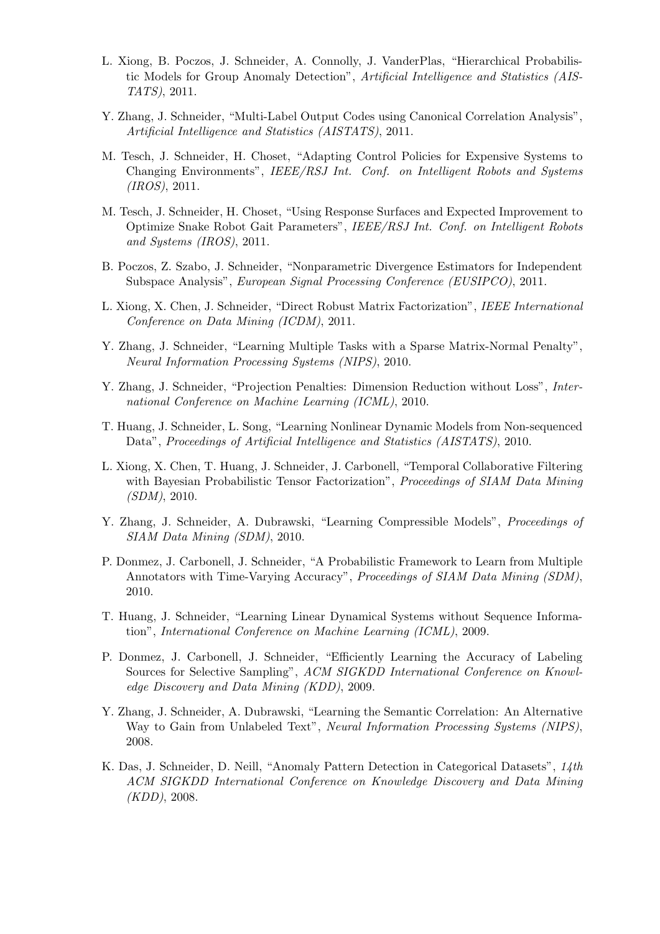- L. Xiong, B. Poczos, J. Schneider, A. Connolly, J. VanderPlas, "Hierarchical Probabilistic Models for Group Anomaly Detection", Artificial Intelligence and Statistics (AIS-TATS), 2011.
- Y. Zhang, J. Schneider, "Multi-Label Output Codes using Canonical Correlation Analysis", Artificial Intelligence and Statistics (AISTATS), 2011.
- M. Tesch, J. Schneider, H. Choset, "Adapting Control Policies for Expensive Systems to Changing Environments", IEEE/RSJ Int. Conf. on Intelligent Robots and Systems (IROS), 2011.
- M. Tesch, J. Schneider, H. Choset, "Using Response Surfaces and Expected Improvement to Optimize Snake Robot Gait Parameters", IEEE/RSJ Int. Conf. on Intelligent Robots and Systems (IROS), 2011.
- B. Poczos, Z. Szabo, J. Schneider, "Nonparametric Divergence Estimators for Independent Subspace Analysis", European Signal Processing Conference (EUSIPCO), 2011.
- L. Xiong, X. Chen, J. Schneider, "Direct Robust Matrix Factorization", IEEE International Conference on Data Mining (ICDM), 2011.
- Y. Zhang, J. Schneider, "Learning Multiple Tasks with a Sparse Matrix-Normal Penalty", Neural Information Processing Systems (NIPS), 2010.
- Y. Zhang, J. Schneider, "Projection Penalties: Dimension Reduction without Loss", International Conference on Machine Learning (ICML), 2010.
- T. Huang, J. Schneider, L. Song, "Learning Nonlinear Dynamic Models from Non-sequenced Data", Proceedings of Artificial Intelligence and Statistics (AISTATS), 2010.
- L. Xiong, X. Chen, T. Huang, J. Schneider, J. Carbonell, "Temporal Collaborative Filtering with Bayesian Probabilistic Tensor Factorization", *Proceedings of SIAM Data Mining* (SDM), 2010.
- Y. Zhang, J. Schneider, A. Dubrawski, "Learning Compressible Models", *Proceedings of* SIAM Data Mining (SDM), 2010.
- P. Donmez, J. Carbonell, J. Schneider, "A Probabilistic Framework to Learn from Multiple Annotators with Time-Varying Accuracy", Proceedings of SIAM Data Mining (SDM), 2010.
- T. Huang, J. Schneider, "Learning Linear Dynamical Systems without Sequence Information", International Conference on Machine Learning (ICML), 2009.
- P. Donmez, J. Carbonell, J. Schneider, "Efficiently Learning the Accuracy of Labeling Sources for Selective Sampling", ACM SIGKDD International Conference on Knowledge Discovery and Data Mining (KDD), 2009.
- Y. Zhang, J. Schneider, A. Dubrawski, "Learning the Semantic Correlation: An Alternative Way to Gain from Unlabeled Text", Neural Information Processing Systems (NIPS), 2008.
- K. Das, J. Schneider, D. Neill, "Anomaly Pattern Detection in Categorical Datasets", 14th ACM SIGKDD International Conference on Knowledge Discovery and Data Mining (KDD), 2008.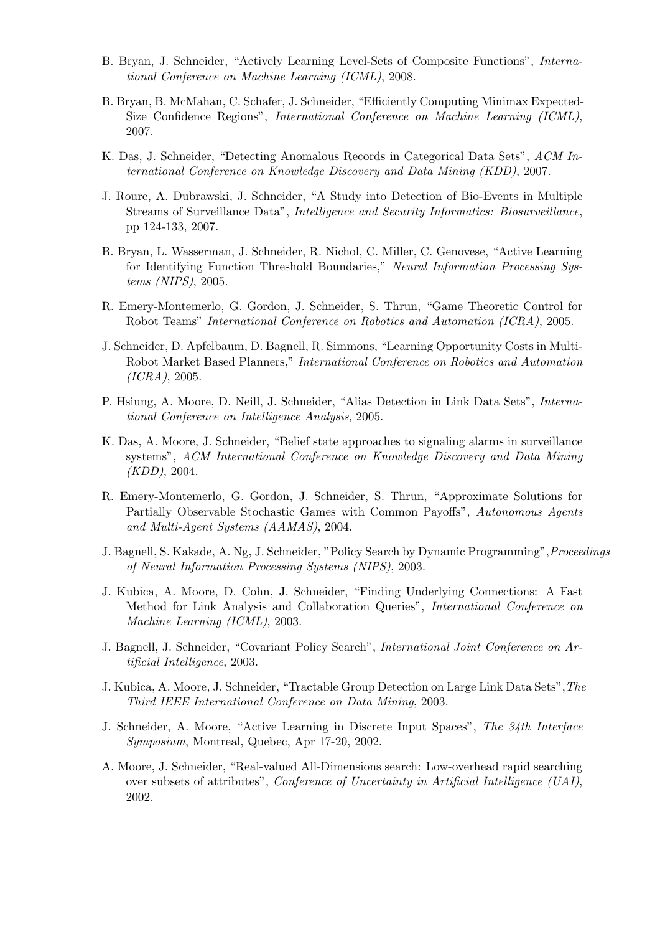- B. Bryan, J. Schneider, "Actively Learning Level-Sets of Composite Functions", International Conference on Machine Learning (ICML), 2008.
- B. Bryan, B. McMahan, C. Schafer, J. Schneider, "Efficiently Computing Minimax Expected-Size Confidence Regions", International Conference on Machine Learning (ICML), 2007.
- K. Das, J. Schneider, "Detecting Anomalous Records in Categorical Data Sets", ACM International Conference on Knowledge Discovery and Data Mining (KDD), 2007.
- J. Roure, A. Dubrawski, J. Schneider, "A Study into Detection of Bio-Events in Multiple Streams of Surveillance Data", Intelligence and Security Informatics: Biosurveillance, pp 124-133, 2007.
- B. Bryan, L. Wasserman, J. Schneider, R. Nichol, C. Miller, C. Genovese, "Active Learning for Identifying Function Threshold Boundaries," Neural Information Processing Systems (NIPS), 2005.
- R. Emery-Montemerlo, G. Gordon, J. Schneider, S. Thrun, "Game Theoretic Control for Robot Teams" International Conference on Robotics and Automation (ICRA), 2005.
- J. Schneider, D. Apfelbaum, D. Bagnell, R. Simmons, "Learning Opportunity Costs in Multi-Robot Market Based Planners," International Conference on Robotics and Automation (ICRA), 2005.
- P. Hsiung, A. Moore, D. Neill, J. Schneider, "Alias Detection in Link Data Sets", International Conference on Intelligence Analysis, 2005.
- K. Das, A. Moore, J. Schneider, "Belief state approaches to signaling alarms in surveillance systems", ACM International Conference on Knowledge Discovery and Data Mining (KDD), 2004.
- R. Emery-Montemerlo, G. Gordon, J. Schneider, S. Thrun, "Approximate Solutions for Partially Observable Stochastic Games with Common Payoffs", Autonomous Agents and Multi-Agent Systems (AAMAS), 2004.
- J. Bagnell, S. Kakade, A. Ng, J. Schneider, "Policy Search by Dynamic Programming",Proceedings of Neural Information Processing Systems (NIPS), 2003.
- J. Kubica, A. Moore, D. Cohn, J. Schneider, "Finding Underlying Connections: A Fast Method for Link Analysis and Collaboration Queries", International Conference on Machine Learning (ICML), 2003.
- J. Bagnell, J. Schneider, "Covariant Policy Search", International Joint Conference on Artificial Intelligence, 2003.
- J. Kubica, A. Moore, J. Schneider, "Tractable Group Detection on Large Link Data Sets",The Third IEEE International Conference on Data Mining, 2003.
- J. Schneider, A. Moore, "Active Learning in Discrete Input Spaces", The 34th Interface Symposium, Montreal, Quebec, Apr 17-20, 2002.
- A. Moore, J. Schneider, "Real-valued All-Dimensions search: Low-overhead rapid searching over subsets of attributes", Conference of Uncertainty in Artificial Intelligence (UAI), 2002.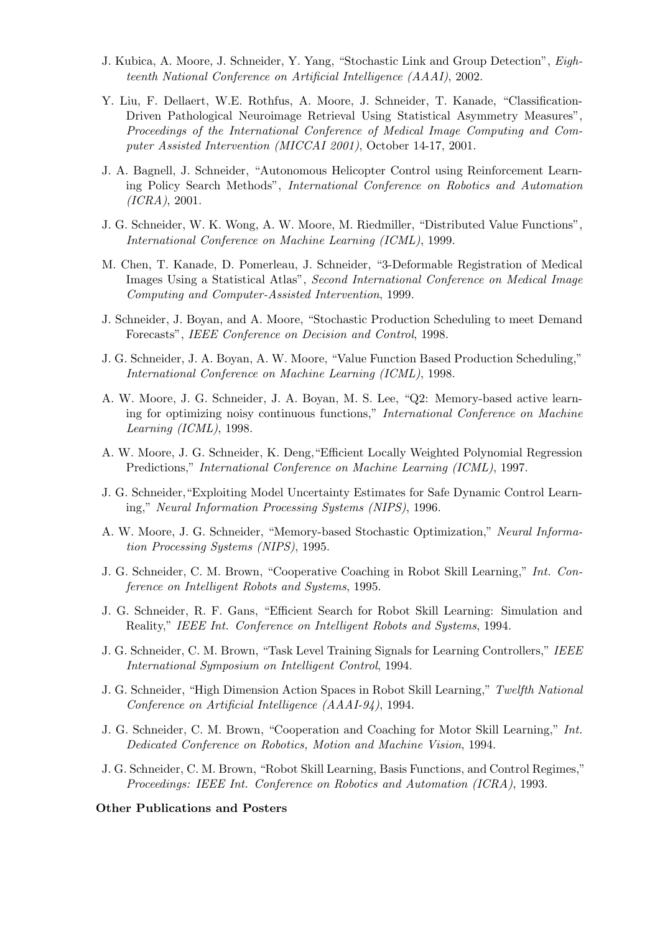- J. Kubica, A. Moore, J. Schneider, Y. Yang, "Stochastic Link and Group Detection", Eighteenth National Conference on Artificial Intelligence (AAAI), 2002.
- Y. Liu, F. Dellaert, W.E. Rothfus, A. Moore, J. Schneider, T. Kanade, "Classification-Driven Pathological Neuroimage Retrieval Using Statistical Asymmetry Measures", Proceedings of the International Conference of Medical Image Computing and Computer Assisted Intervention (MICCAI 2001), October 14-17, 2001.
- J. A. Bagnell, J. Schneider, "Autonomous Helicopter Control using Reinforcement Learning Policy Search Methods", International Conference on Robotics and Automation (ICRA), 2001.
- J. G. Schneider, W. K. Wong, A. W. Moore, M. Riedmiller, "Distributed Value Functions", International Conference on Machine Learning (ICML), 1999.
- M. Chen, T. Kanade, D. Pomerleau, J. Schneider, "3-Deformable Registration of Medical Images Using a Statistical Atlas", Second International Conference on Medical Image Computing and Computer-Assisted Intervention, 1999.
- J. Schneider, J. Boyan, and A. Moore, "Stochastic Production Scheduling to meet Demand Forecasts", IEEE Conference on Decision and Control, 1998.
- J. G. Schneider, J. A. Boyan, A. W. Moore, "Value Function Based Production Scheduling," International Conference on Machine Learning (ICML), 1998.
- A. W. Moore, J. G. Schneider, J. A. Boyan, M. S. Lee, "Q2: Memory-based active learning for optimizing noisy continuous functions," International Conference on Machine Learning (ICML), 1998.
- A. W. Moore, J. G. Schneider, K. Deng,"Efficient Locally Weighted Polynomial Regression Predictions," International Conference on Machine Learning (ICML), 1997.
- J. G. Schneider,"Exploiting Model Uncertainty Estimates for Safe Dynamic Control Learning," Neural Information Processing Systems (NIPS), 1996.
- A. W. Moore, J. G. Schneider, "Memory-based Stochastic Optimization," Neural Information Processing Systems (NIPS), 1995.
- J. G. Schneider, C. M. Brown, "Cooperative Coaching in Robot Skill Learning," Int. Conference on Intelligent Robots and Systems, 1995.
- J. G. Schneider, R. F. Gans, "Efficient Search for Robot Skill Learning: Simulation and Reality," IEEE Int. Conference on Intelligent Robots and Systems, 1994.
- J. G. Schneider, C. M. Brown, "Task Level Training Signals for Learning Controllers," IEEE International Symposium on Intelligent Control, 1994.
- J. G. Schneider, "High Dimension Action Spaces in Robot Skill Learning," Twelfth National Conference on Artificial Intelligence (AAAI-94), 1994.
- J. G. Schneider, C. M. Brown, "Cooperation and Coaching for Motor Skill Learning," Int. Dedicated Conference on Robotics, Motion and Machine Vision, 1994.
- J. G. Schneider, C. M. Brown, "Robot Skill Learning, Basis Functions, and Control Regimes," Proceedings: IEEE Int. Conference on Robotics and Automation (ICRA), 1993.

#### Other Publications and Posters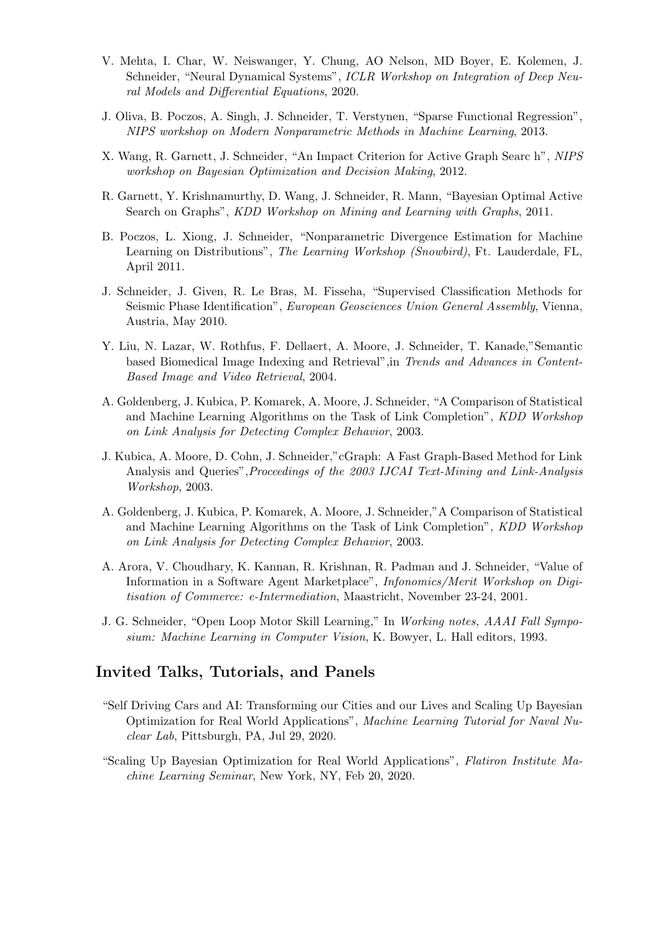- V. Mehta, I. Char, W. Neiswanger, Y. Chung, AO Nelson, MD Boyer, E. Kolemen, J. Schneider, "Neural Dynamical Systems", ICLR Workshop on Integration of Deep Neural Models and Differential Equations, 2020.
- J. Oliva, B. Poczos, A. Singh, J. Schneider, T. Verstynen, "Sparse Functional Regression", NIPS workshop on Modern Nonparametric Methods in Machine Learning, 2013.
- X. Wang, R. Garnett, J. Schneider, "An Impact Criterion for Active Graph Searc h", NIPS workshop on Bayesian Optimization and Decision Making, 2012.
- R. Garnett, Y. Krishnamurthy, D. Wang, J. Schneider, R. Mann, "Bayesian Optimal Active Search on Graphs", KDD Workshop on Mining and Learning with Graphs, 2011.
- B. Poczos, L. Xiong, J. Schneider, "Nonparametric Divergence Estimation for Machine Learning on Distributions", The Learning Workshop (Snowbird), Ft. Lauderdale, FL, April 2011.
- J. Schneider, J. Given, R. Le Bras, M. Fisseha, "Supervised Classification Methods for Seismic Phase Identification", European Geosciences Union General Assembly, Vienna, Austria, May 2010.
- Y. Liu, N. Lazar, W. Rothfus, F. Dellaert, A. Moore, J. Schneider, T. Kanade,"Semantic based Biomedical Image Indexing and Retrieval",in Trends and Advances in Content-Based Image and Video Retrieval, 2004.
- A. Goldenberg, J. Kubica, P. Komarek, A. Moore, J. Schneider, "A Comparison of Statistical and Machine Learning Algorithms on the Task of Link Completion", KDD Workshop on Link Analysis for Detecting Complex Behavior, 2003.
- J. Kubica, A. Moore, D. Cohn, J. Schneider,"cGraph: A Fast Graph-Based Method for Link Analysis and Queries",Proceedings of the 2003 IJCAI Text-Mining and Link-Analysis Workshop, 2003.
- A. Goldenberg, J. Kubica, P. Komarek, A. Moore, J. Schneider,"A Comparison of Statistical and Machine Learning Algorithms on the Task of Link Completion", KDD Workshop on Link Analysis for Detecting Complex Behavior, 2003.
- A. Arora, V. Choudhary, K. Kannan, R. Krishnan, R. Padman and J. Schneider, "Value of Information in a Software Agent Marketplace", Infonomics/Merit Workshop on Digitisation of Commerce: e-Intermediation, Maastricht, November 23-24, 2001.
- J. G. Schneider, "Open Loop Motor Skill Learning," In Working notes, AAAI Fall Symposium: Machine Learning in Computer Vision, K. Bowyer, L. Hall editors, 1993.

## Invited Talks, Tutorials, and Panels

- "Self Driving Cars and AI: Transforming our Cities and our Lives and Scaling Up Bayesian Optimization for Real World Applications", Machine Learning Tutorial for Naval Nuclear Lab, Pittsburgh, PA, Jul 29, 2020.
- "Scaling Up Bayesian Optimization for Real World Applications", Flatiron Institute Machine Learning Seminar, New York, NY, Feb 20, 2020.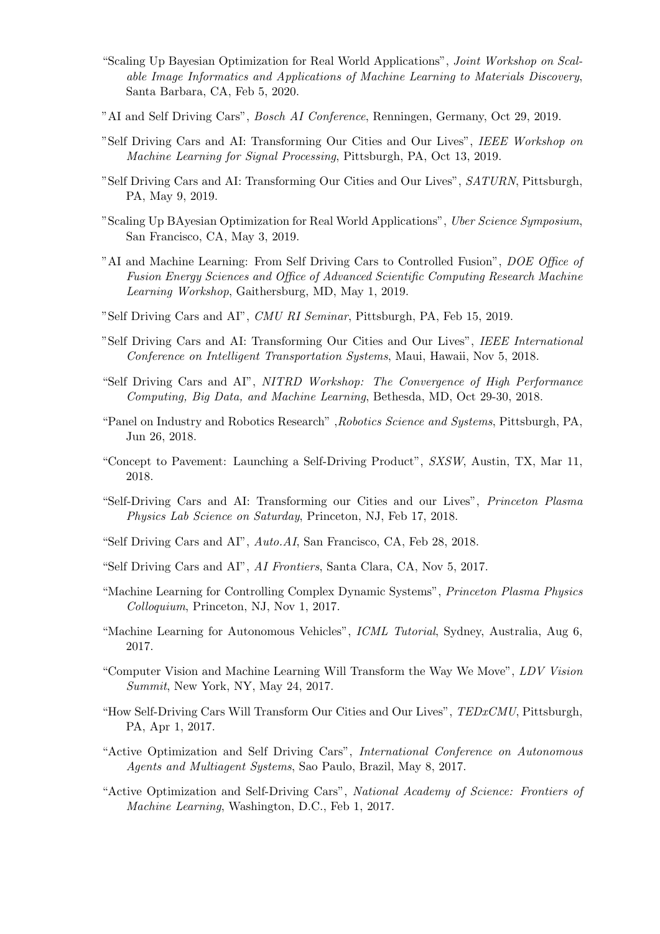- "Scaling Up Bayesian Optimization for Real World Applications", Joint Workshop on Scalable Image Informatics and Applications of Machine Learning to Materials Discovery, Santa Barbara, CA, Feb 5, 2020.
- "AI and Self Driving Cars", Bosch AI Conference, Renningen, Germany, Oct 29, 2019.
- "Self Driving Cars and AI: Transforming Our Cities and Our Lives", IEEE Workshop on Machine Learning for Signal Processing, Pittsburgh, PA, Oct 13, 2019.
- "Self Driving Cars and AI: Transforming Our Cities and Our Lives", SATURN, Pittsburgh, PA, May 9, 2019.
- "Scaling Up BAyesian Optimization for Real World Applications", Uber Science Symposium, San Francisco, CA, May 3, 2019.
- "AI and Machine Learning: From Self Driving Cars to Controlled Fusion", DOE Office of Fusion Energy Sciences and Office of Advanced Scientific Computing Research Machine Learning Workshop, Gaithersburg, MD, May 1, 2019.
- "Self Driving Cars and AI", CMU RI Seminar, Pittsburgh, PA, Feb 15, 2019.
- "Self Driving Cars and AI: Transforming Our Cities and Our Lives", IEEE International Conference on Intelligent Transportation Systems, Maui, Hawaii, Nov 5, 2018.
- "Self Driving Cars and AI", NITRD Workshop: The Convergence of High Performance Computing, Big Data, and Machine Learning, Bethesda, MD, Oct 29-30, 2018.
- "Panel on Industry and Robotics Research" ,Robotics Science and Systems, Pittsburgh, PA, Jun 26, 2018.
- "Concept to Pavement: Launching a Self-Driving Product", SXSW, Austin, TX, Mar 11, 2018.
- "Self-Driving Cars and AI: Transforming our Cities and our Lives", Princeton Plasma Physics Lab Science on Saturday, Princeton, NJ, Feb 17, 2018.
- "Self Driving Cars and AI", Auto.AI, San Francisco, CA, Feb 28, 2018.
- "Self Driving Cars and AI", AI Frontiers, Santa Clara, CA, Nov 5, 2017.
- "Machine Learning for Controlling Complex Dynamic Systems", Princeton Plasma Physics Colloquium, Princeton, NJ, Nov 1, 2017.
- "Machine Learning for Autonomous Vehicles", ICML Tutorial, Sydney, Australia, Aug 6, 2017.
- "Computer Vision and Machine Learning Will Transform the Way We Move", LDV Vision Summit, New York, NY, May 24, 2017.
- "How Self-Driving Cars Will Transform Our Cities and Our Lives", TEDxCMU, Pittsburgh, PA, Apr 1, 2017.
- "Active Optimization and Self Driving Cars", International Conference on Autonomous Agents and Multiagent Systems, Sao Paulo, Brazil, May 8, 2017.
- "Active Optimization and Self-Driving Cars", National Academy of Science: Frontiers of Machine Learning, Washington, D.C., Feb 1, 2017.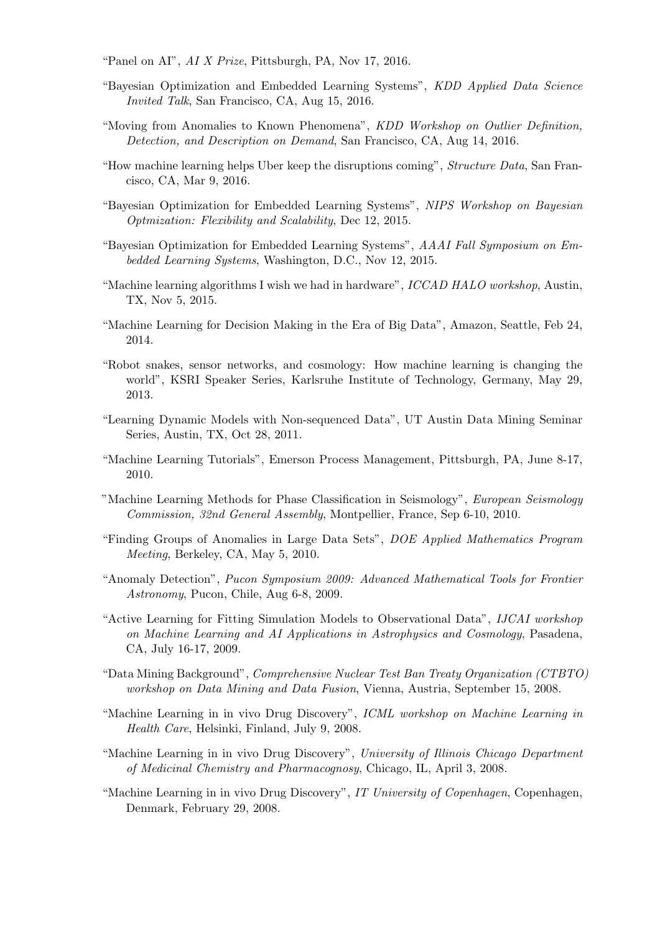"Panel on AI",  $AI X Prize$ , Pittsburgh, PA, Nov 17, 2016.

- "Bayesian Optimization and Embedded Learning Systems", KDD Applied Data Science Invited Talk, San Francisco, CA, Aug 15, 2016.
- "Moving from Anomalies to Known Phenomena", KDD Workshop on Outlier Definition, Detection, and Description on Demand, San Francisco, CA, Aug 14, 2016.
- "How machine learning helps Uber keep the disruptions coming", Structure Data, San Francisco, CA, Mar 9, 2016.
- "Bayesian Optimization for Embedded Learning Systems", NIPS Workshop on Bayesian Optmization: Flexibility and Scalability, Dec 12, 2015.
- "Bayesian Optimization for Embedded Learning Systems", AAAI Fall Symposium on Embedded Learning Systems, Washington, D.C., Nov 12, 2015.
- "Machine learning algorithms I wish we had in hardware", ICCAD HALO workshop, Austin, TX, Nov 5, 2015.
- "Machine Learning for Decision Making in the Era of Big Data", Amazon, Seattle, Feb 24, 2014.
- "Robot snakes, sensor networks, and cosmology: How machine learning is changing the world", KSRI Speaker Series, Karlsruhe Institute of Technology, Germany, May 29, 2013.
- "Learning Dynamic Models with Non-sequenced Data", UT Austin Data Mining Seminar Series, Austin, TX, Oct 28, 2011.
- "Machine Learning Tutorials", Emerson Process Management, Pittsburgh, PA, June 8-17, 2010.
- "Machine Learning Methods for Phase Classification in Seismology", European Seismology Commission, 32nd General Assembly, Montpellier, France, Sep 6-10, 2010.
- "Finding Groups of Anomalies in Large Data Sets", DOE Applied Mathematics Program Meeting, Berkeley, CA, May 5, 2010.
- "Anomaly Detection", Pucon Symposium 2009: Advanced Mathematical Tools for Frontier Astronomy, Pucon, Chile, Aug 6-8, 2009.
- "Active Learning for Fitting Simulation Models to Observational Data", IJCAI workshop on Machine Learning and AI Applications in Astrophysics and Cosmology, Pasadena, CA, July 16-17, 2009.
- "Data Mining Background", Comprehensive Nuclear Test Ban Treaty Organization (CTBTO) workshop on Data Mining and Data Fusion, Vienna, Austria, September 15, 2008.
- "Machine Learning in in vivo Drug Discovery", ICML workshop on Machine Learning in Health Care, Helsinki, Finland, July 9, 2008.
- "Machine Learning in in vivo Drug Discovery", University of Illinois Chicago Department of Medicinal Chemistry and Pharmacognosy, Chicago, IL, April 3, 2008.
- "Machine Learning in in vivo Drug Discovery", IT University of Copenhagen, Copenhagen, Denmark, February 29, 2008.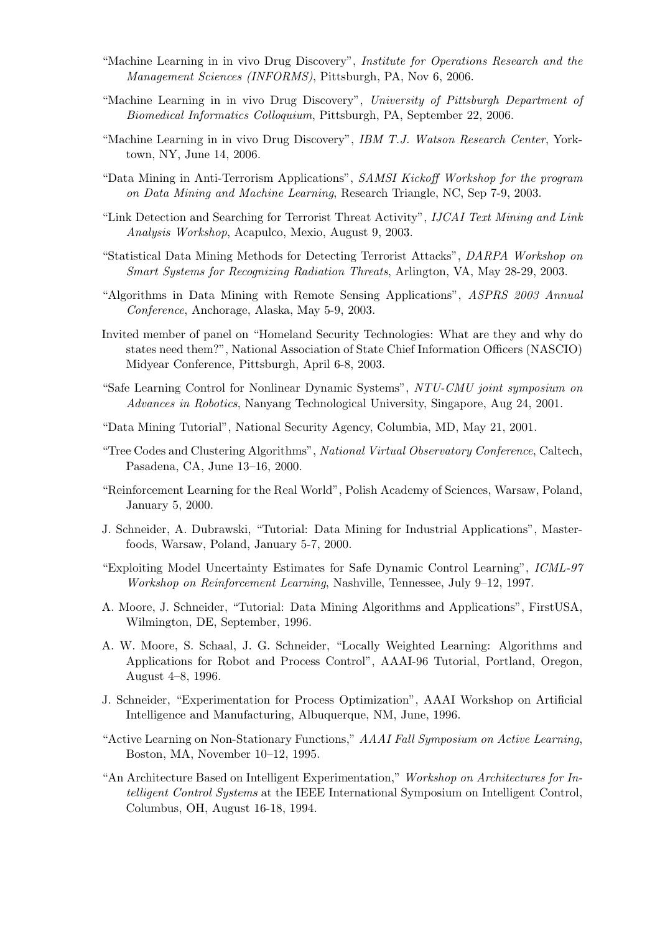- "Machine Learning in in vivo Drug Discovery", Institute for Operations Research and the Management Sciences (INFORMS), Pittsburgh, PA, Nov 6, 2006.
- "Machine Learning in in vivo Drug Discovery", University of Pittsburgh Department of Biomedical Informatics Colloquium, Pittsburgh, PA, September 22, 2006.
- "Machine Learning in in vivo Drug Discovery", IBM T.J. Watson Research Center, Yorktown, NY, June 14, 2006.
- "Data Mining in Anti-Terrorism Applications", SAMSI Kickoff Workshop for the program on Data Mining and Machine Learning, Research Triangle, NC, Sep 7-9, 2003.
- "Link Detection and Searching for Terrorist Threat Activity", IJCAI Text Mining and Link Analysis Workshop, Acapulco, Mexio, August 9, 2003.
- "Statistical Data Mining Methods for Detecting Terrorist Attacks", DARPA Workshop on Smart Systems for Recognizing Radiation Threats, Arlington, VA, May 28-29, 2003.
- "Algorithms in Data Mining with Remote Sensing Applications", ASPRS 2003 Annual Conference, Anchorage, Alaska, May 5-9, 2003.
- Invited member of panel on "Homeland Security Technologies: What are they and why do states need them?", National Association of State Chief Information Officers (NASCIO) Midyear Conference, Pittsburgh, April 6-8, 2003.
- "Safe Learning Control for Nonlinear Dynamic Systems", NTU-CMU joint symposium on Advances in Robotics, Nanyang Technological University, Singapore, Aug 24, 2001.
- "Data Mining Tutorial", National Security Agency, Columbia, MD, May 21, 2001.
- "Tree Codes and Clustering Algorithms", National Virtual Observatory Conference, Caltech, Pasadena, CA, June 13–16, 2000.
- "Reinforcement Learning for the Real World", Polish Academy of Sciences, Warsaw, Poland, January 5, 2000.
- J. Schneider, A. Dubrawski, "Tutorial: Data Mining for Industrial Applications", Masterfoods, Warsaw, Poland, January 5-7, 2000.
- "Exploiting Model Uncertainty Estimates for Safe Dynamic Control Learning", ICML-97 Workshop on Reinforcement Learning, Nashville, Tennessee, July 9–12, 1997.
- A. Moore, J. Schneider, "Tutorial: Data Mining Algorithms and Applications", FirstUSA, Wilmington, DE, September, 1996.
- A. W. Moore, S. Schaal, J. G. Schneider, "Locally Weighted Learning: Algorithms and Applications for Robot and Process Control", AAAI-96 Tutorial, Portland, Oregon, August 4–8, 1996.
- J. Schneider, "Experimentation for Process Optimization", AAAI Workshop on Artificial Intelligence and Manufacturing, Albuquerque, NM, June, 1996.
- "Active Learning on Non-Stationary Functions," AAAI Fall Symposium on Active Learning, Boston, MA, November 10–12, 1995.
- "An Architecture Based on Intelligent Experimentation," Workshop on Architectures for Intelligent Control Systems at the IEEE International Symposium on Intelligent Control, Columbus, OH, August 16-18, 1994.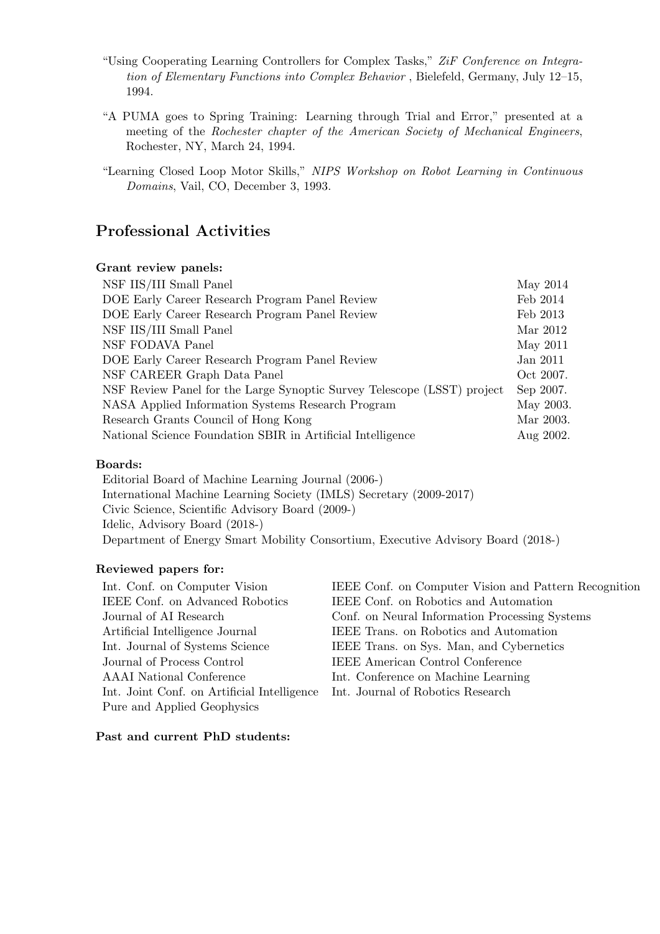- "Using Cooperating Learning Controllers for Complex Tasks," ZiF Conference on Integration of Elementary Functions into Complex Behavior , Bielefeld, Germany, July 12–15, 1994.
- "A PUMA goes to Spring Training: Learning through Trial and Error," presented at a meeting of the Rochester chapter of the American Society of Mechanical Engineers, Rochester, NY, March 24, 1994.
- "Learning Closed Loop Motor Skills," NIPS Workshop on Robot Learning in Continuous Domains, Vail, CO, December 3, 1993.

# Professional Activities

### Grant review panels:

| NSF IIS/III Small Panel                                                 | May 2014  |  |
|-------------------------------------------------------------------------|-----------|--|
| DOE Early Career Research Program Panel Review                          | Feb 2014  |  |
| DOE Early Career Research Program Panel Review                          | Feb 2013  |  |
| NSF IIS/III Small Panel                                                 | Mar 2012  |  |
| NSF FODAVA Panel                                                        | May 2011  |  |
| DOE Early Career Research Program Panel Review                          | Jan 2011  |  |
| NSF CAREER Graph Data Panel                                             | Oct 2007. |  |
| NSF Review Panel for the Large Synoptic Survey Telescope (LSST) project | Sep 2007. |  |
| NASA Applied Information Systems Research Program                       | May 2003. |  |
| Research Grants Council of Hong Kong                                    | Mar 2003. |  |
| National Science Foundation SBIR in Artificial Intelligence             |           |  |

### Boards:

Editorial Board of Machine Learning Journal (2006-) International Machine Learning Society (IMLS) Secretary (2009-2017) Civic Science, Scientific Advisory Board (2009-) Idelic, Advisory Board (2018-) Department of Energy Smart Mobility Consortium, Executive Advisory Board (2018-)

### Reviewed papers for:

| Int. Conf. on Computer Vision               | IEEE Conf. on Computer Vision and Pattern Recognition |
|---------------------------------------------|-------------------------------------------------------|
| IEEE Conf. on Advanced Robotics             | IEEE Conf. on Robotics and Automation                 |
| Journal of AI Research                      | Conf. on Neural Information Processing Systems        |
| Artificial Intelligence Journal             | IEEE Trans. on Robotics and Automation                |
| Int. Journal of Systems Science             | IEEE Trans. on Sys. Man, and Cybernetics              |
| Journal of Process Control                  | <b>IEEE</b> American Control Conference               |
| AAAI National Conference                    | Int. Conference on Machine Learning                   |
| Int. Joint Conf. on Artificial Intelligence | Int. Journal of Robotics Research                     |
| Pure and Applied Geophysics                 |                                                       |

### Past and current PhD students: